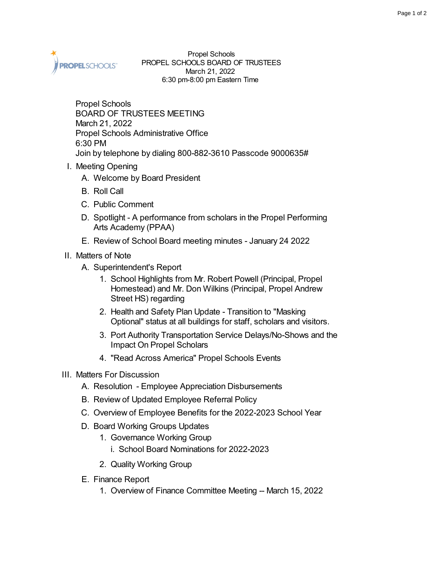

Propel Schools PROPEL SCHOOLS BOARD OF TRUSTEES March 21, 2022 6:30 pm-8:00 pm Eastern Time

Propel Schools BOARD OF TRUSTEES MEETING March 21, 2022 Propel Schools Administrative Office 6:30 PM Join by telephone by dialing 800-882-3610 Passcode 9000635#

- I. Meeting Opening
	- A. Welcome by Board President
	- B. Roll Call
	- C. Public Comment
	- D. Spotlight A performance from scholars in the Propel Performing Arts Academy (PPAA)
	- E. Review of School Board meeting minutes January 24 2022
- II. Matters of Note
	- A. Superintendent's Report
		- 1. School Highlights from Mr. Robert Powell (Principal, Propel Homestead) and Mr. Don Wilkins (Principal, Propel Andrew Street HS) regarding
		- 2. Health and Safety Plan Update Transition to "Masking Optional" status at all buildings for staff, scholars and visitors.
		- 3. Port Authority Transportation Service Delays/No-Shows and the Impact On Propel Scholars
		- 4. "Read Across America" Propel Schools Events

## III. Matters For Discussion

- A. Resolution Employee Appreciation Disbursements
- B. Review of Updated Employee Referral Policy
- C. Overview of Employee Benefits for the 2022-2023 School Year
- D. Board Working Groups Updates
	- 1. Governance Working Group
		- i. School Board Nominations for 2022-2023
	- 2. Quality Working Group
- E. Finance Report
	- 1. Overview of Finance Committee Meeting -- March 15, 2022